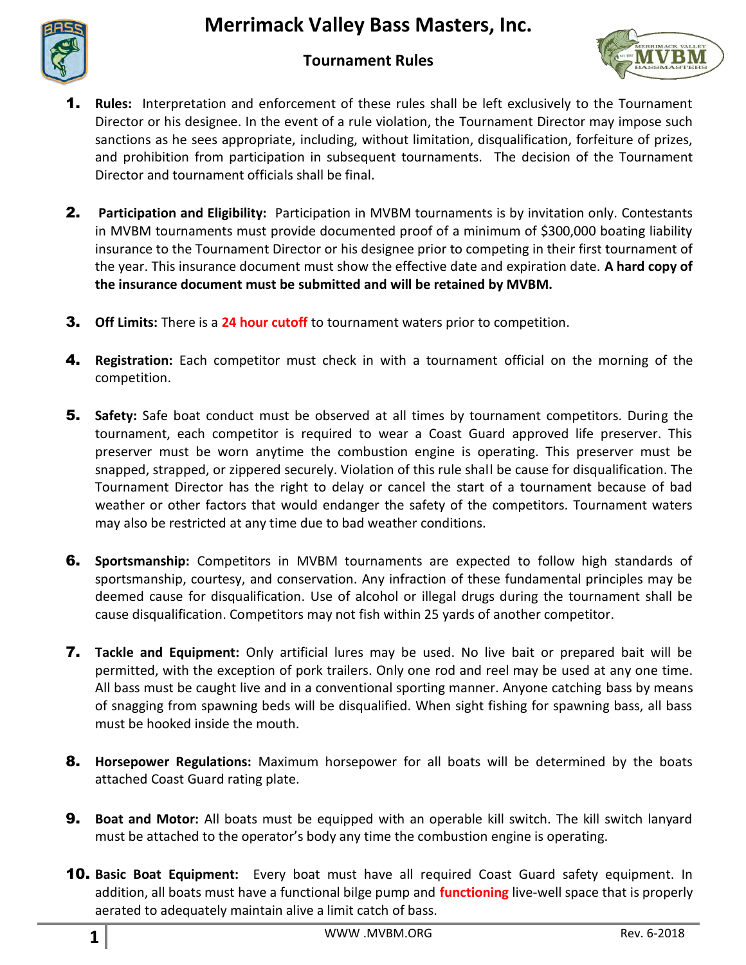## **Merrimack Valley Bass Masters, Inc.**



## **Tournament Rules**



- 1. **Rules:** Interpretation and enforcement of these rules shall be left exclusively to the Tournament Director or his designee. In the event of a rule violation, the Tournament Director may impose such sanctions as he sees appropriate, including, without limitation, disqualification, forfeiture of prizes, and prohibition from participation in subsequent tournaments. The decision of the Tournament Director and tournament officials shall be final.
- 2. **Participation and Eligibility:** Participation in MVBM tournaments is by invitation only. Contestants in MVBM tournaments must provide documented proof of a minimum of \$300,000 boating liability insurance to the Tournament Director or his designee prior to competing in their first tournament of the year. This insurance document must show the effective date and expiration date. **A hard copy of the insurance document must be submitted and will be retained by MVBM.**
- 3. **Off Limits:** There is a **24 hour cutoff** to tournament waters prior to competition.
- 4. **Registration:** Each competitor must check in with a tournament official on the morning of the competition.
- 5. **Safety:** Safe boat conduct must be observed at all times by tournament competitors. During the tournament, each competitor is required to wear a Coast Guard approved life preserver. This preserver must be worn anytime the combustion engine is operating. This preserver must be snapped, strapped, or zippered securely. Violation of this rule shall be cause for disqualification. The Tournament Director has the right to delay or cancel the start of a tournament because of bad weather or other factors that would endanger the safety of the competitors. Tournament waters may also be restricted at any time due to bad weather conditions.
- 6. **Sportsmanship:** Competitors in MVBM tournaments are expected to follow high standards of sportsmanship, courtesy, and conservation. Any infraction of these fundamental principles may be deemed cause for disqualification. Use of alcohol or illegal drugs during the tournament shall be cause disqualification. Competitors may not fish within 25 yards of another competitor.
- 7. **Tackle and Equipment:** Only artificial lures may be used. No live bait or prepared bait will be permitted, with the exception of pork trailers. Only one rod and reel may be used at any one time. All bass must be caught live and in a conventional sporting manner. Anyone catching bass by means of snagging from spawning beds will be disqualified. When sight fishing for spawning bass, all bass must be hooked inside the mouth.
- 8. **Horsepower Regulations:** Maximum horsepower for all boats will be determined by the boats attached Coast Guard rating plate.
- 9. **Boat and Motor:** All boats must be equipped with an operable kill switch. The kill switch lanyard must be attached to the operator's body any time the combustion engine is operating.
- 10. **Basic Boat Equipment:** Every boat must have all required Coast Guard safety equipment. In addition, all boats must have a functional bilge pump and **functioning** live-well space that is properly aerated to adequately maintain alive a limit catch of bass.